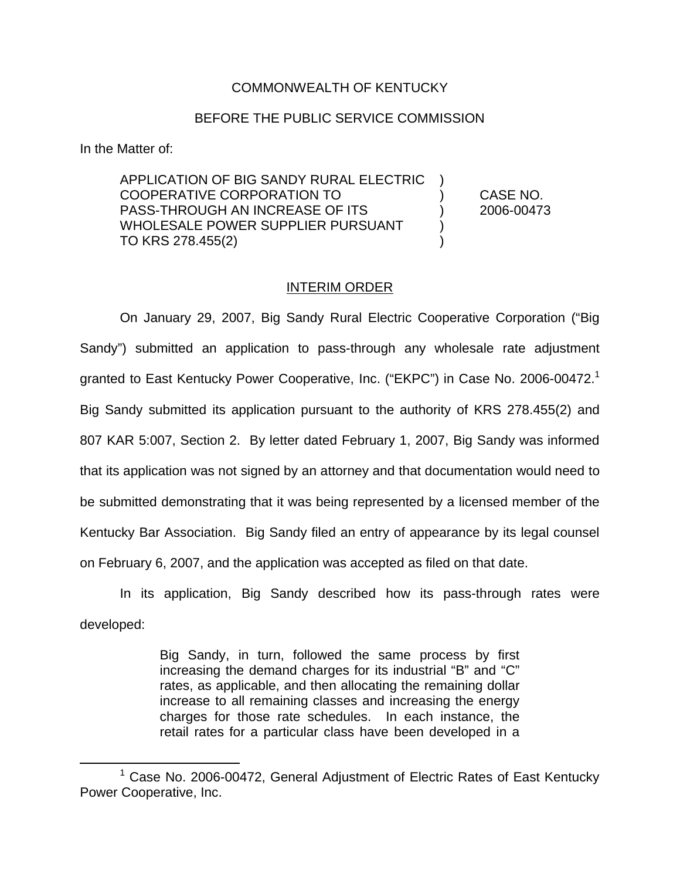## COMMONWEALTH OF KENTUCKY

## BEFORE THE PUBLIC SERVICE COMMISSION

In the Matter of:

APPLICATION OF BIG SANDY RURAL ELECTRIC ) COOPERATIVE CORPORATION TO ) CASE NO. PASS-THROUGH AN INCREASE OF ITS  $(2006-00473)$ WHOLESALE POWER SUPPLIER PURSUANT ) TO KRS 278.455(2)

## INTERIM ORDER

On January 29, 2007, Big Sandy Rural Electric Cooperative Corporation ("Big Sandy") submitted an application to pass-through any wholesale rate adjustment granted to East Kentucky Power Cooperative, Inc. ("EKPC") in Case No. 2006-00472.<sup>1</sup> Big Sandy submitted its application pursuant to the authority of KRS 278.455(2) and 807 KAR 5:007, Section 2. By letter dated February 1, 2007, Big Sandy was informed that its application was not signed by an attorney and that documentation would need to be submitted demonstrating that it was being represented by a licensed member of the Kentucky Bar Association. Big Sandy filed an entry of appearance by its legal counsel on February 6, 2007, and the application was accepted as filed on that date.

In its application, Big Sandy described how its pass-through rates were developed:

> Big Sandy, in turn, followed the same process by first increasing the demand charges for its industrial "B" and "C" rates, as applicable, and then allocating the remaining dollar increase to all remaining classes and increasing the energy charges for those rate schedules. In each instance, the retail rates for a particular class have been developed in a

<sup>&</sup>lt;sup>1</sup> Case No. 2006-00472, General Adjustment of Electric Rates of East Kentucky Power Cooperative, Inc.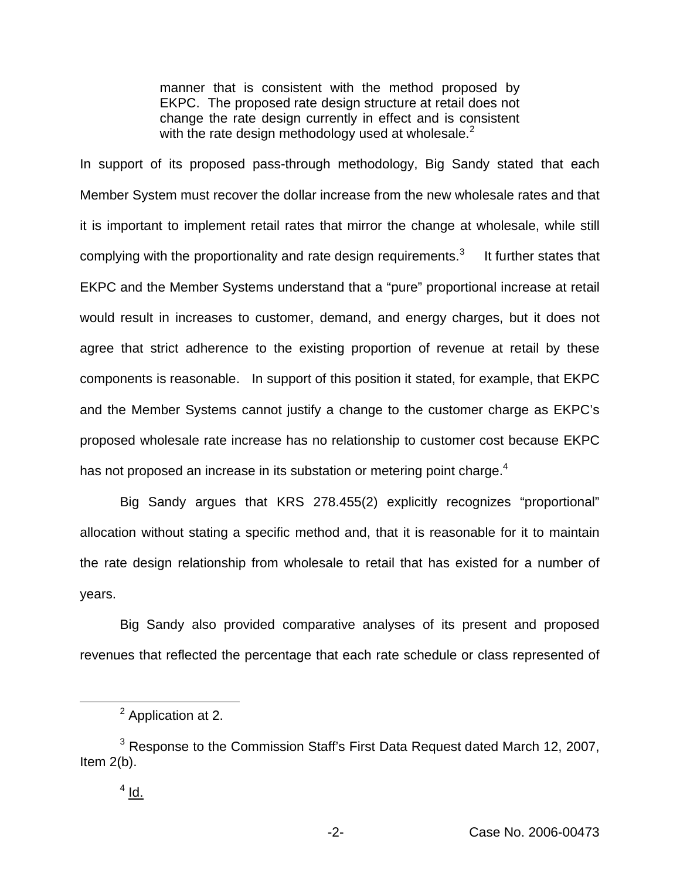manner that is consistent with the method proposed by EKPC. The proposed rate design structure at retail does not change the rate design currently in effect and is consistent with the rate design methodology used at wholesale. $<sup>2</sup>$ </sup>

In support of its proposed pass-through methodology, Big Sandy stated that each Member System must recover the dollar increase from the new wholesale rates and that it is important to implement retail rates that mirror the change at wholesale, while still complying with the proportionality and rate design requirements. $3$  It further states that EKPC and the Member Systems understand that a "pure" proportional increase at retail would result in increases to customer, demand, and energy charges, but it does not agree that strict adherence to the existing proportion of revenue at retail by these components is reasonable. In support of this position it stated, for example, that EKPC and the Member Systems cannot justify a change to the customer charge as EKPC's proposed wholesale rate increase has no relationship to customer cost because EKPC has not proposed an increase in its substation or metering point charge.<sup>4</sup>

Big Sandy argues that KRS 278.455(2) explicitly recognizes "proportional" allocation without stating a specific method and, that it is reasonable for it to maintain the rate design relationship from wholesale to retail that has existed for a number of years.

Big Sandy also provided comparative analyses of its present and proposed revenues that reflected the percentage that each rate schedule or class represented of

<sup>&</sup>lt;sup>2</sup> Application at 2.

<sup>&</sup>lt;sup>3</sup> Response to the Commission Staff's First Data Request dated March 12, 2007, Item 2(b).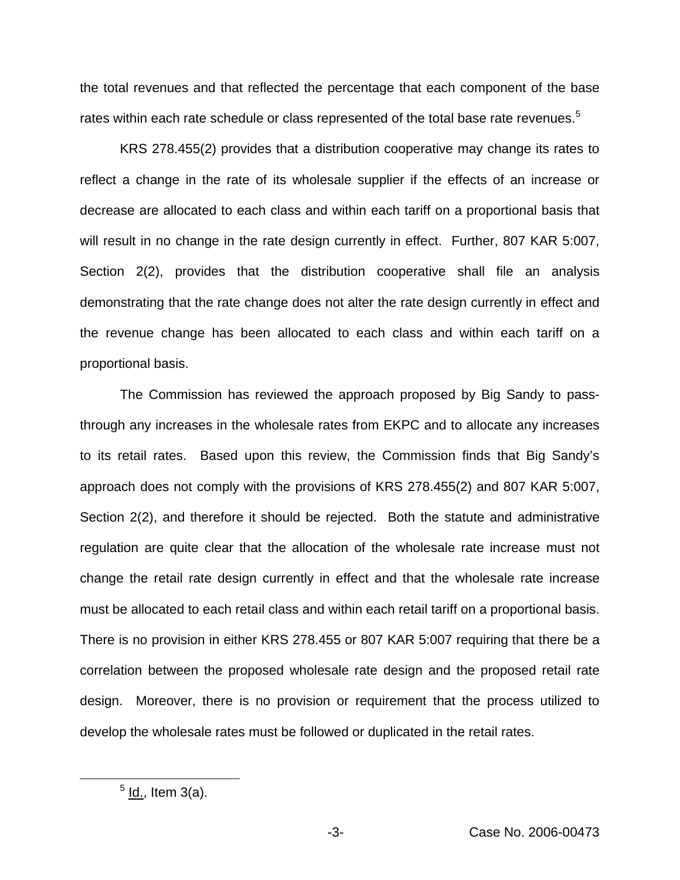the total revenues and that reflected the percentage that each component of the base rates within each rate schedule or class represented of the total base rate revenues.<sup>5</sup>

KRS 278.455(2) provides that a distribution cooperative may change its rates to reflect a change in the rate of its wholesale supplier if the effects of an increase or decrease are allocated to each class and within each tariff on a proportional basis that will result in no change in the rate design currently in effect. Further, 807 KAR 5:007, Section 2(2), provides that the distribution cooperative shall file an analysis demonstrating that the rate change does not alter the rate design currently in effect and the revenue change has been allocated to each class and within each tariff on a proportional basis.

The Commission has reviewed the approach proposed by Big Sandy to passthrough any increases in the wholesale rates from EKPC and to allocate any increases to its retail rates. Based upon this review, the Commission finds that Big Sandy's approach does not comply with the provisions of KRS 278.455(2) and 807 KAR 5:007, Section 2(2), and therefore it should be rejected. Both the statute and administrative regulation are quite clear that the allocation of the wholesale rate increase must not change the retail rate design currently in effect and that the wholesale rate increase must be allocated to each retail class and within each retail tariff on a proportional basis. There is no provision in either KRS 278.455 or 807 KAR 5:007 requiring that there be a correlation between the proposed wholesale rate design and the proposed retail rate design. Moreover, there is no provision or requirement that the process utilized to develop the wholesale rates must be followed or duplicated in the retail rates.

 $<sup>5</sup>$  ld., Item 3(a).</sup>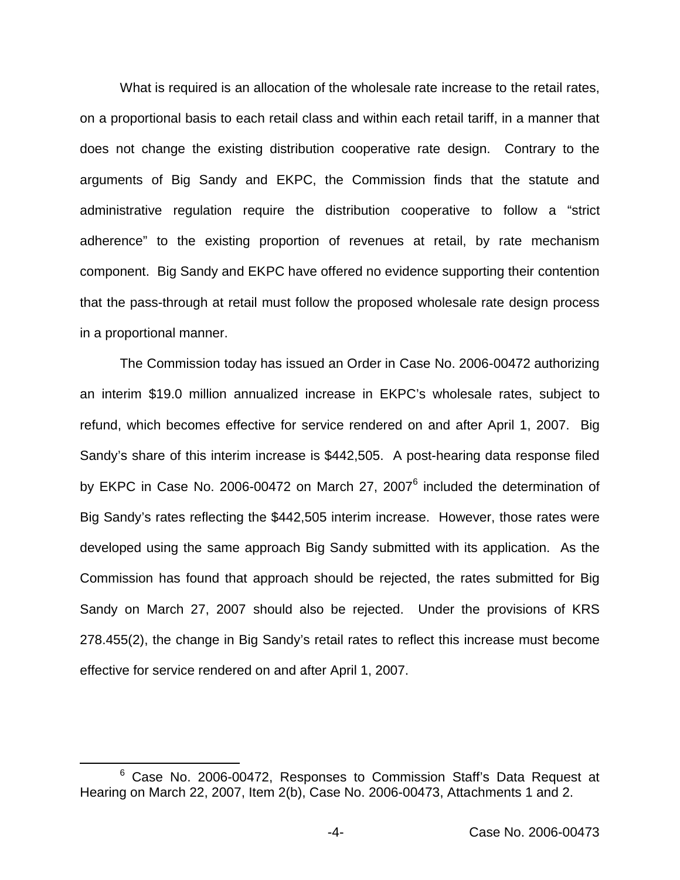What is required is an allocation of the wholesale rate increase to the retail rates, on a proportional basis to each retail class and within each retail tariff, in a manner that does not change the existing distribution cooperative rate design. Contrary to the arguments of Big Sandy and EKPC, the Commission finds that the statute and administrative regulation require the distribution cooperative to follow a "strict adherence" to the existing proportion of revenues at retail, by rate mechanism component. Big Sandy and EKPC have offered no evidence supporting their contention that the pass-through at retail must follow the proposed wholesale rate design process in a proportional manner.

The Commission today has issued an Order in Case No. 2006-00472 authorizing an interim \$19.0 million annualized increase in EKPC's wholesale rates, subject to refund, which becomes effective for service rendered on and after April 1, 2007. Big Sandy's share of this interim increase is \$442,505. A post-hearing data response filed by EKPC in Case No. 2006-00472 on March 27, 2007<sup>6</sup> included the determination of Big Sandy's rates reflecting the \$442,505 interim increase. However, those rates were developed using the same approach Big Sandy submitted with its application. As the Commission has found that approach should be rejected, the rates submitted for Big Sandy on March 27, 2007 should also be rejected. Under the provisions of KRS 278.455(2), the change in Big Sandy's retail rates to reflect this increase must become effective for service rendered on and after April 1, 2007.

<sup>&</sup>lt;sup>6</sup> Case No. 2006-00472, Responses to Commission Staff's Data Request at Hearing on March 22, 2007, Item 2(b), Case No. 2006-00473, Attachments 1 and 2.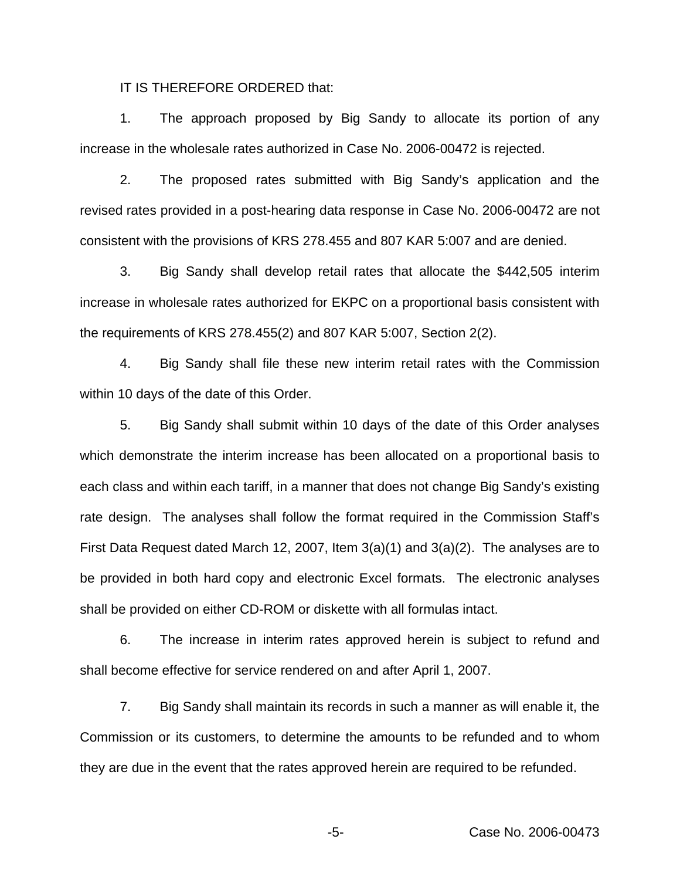IT IS THEREFORE ORDERED that:

1. The approach proposed by Big Sandy to allocate its portion of any increase in the wholesale rates authorized in Case No. 2006-00472 is rejected.

2. The proposed rates submitted with Big Sandy's application and the revised rates provided in a post-hearing data response in Case No. 2006-00472 are not consistent with the provisions of KRS 278.455 and 807 KAR 5:007 and are denied.

3. Big Sandy shall develop retail rates that allocate the \$442,505 interim increase in wholesale rates authorized for EKPC on a proportional basis consistent with the requirements of KRS 278.455(2) and 807 KAR 5:007, Section 2(2).

4. Big Sandy shall file these new interim retail rates with the Commission within 10 days of the date of this Order.

5. Big Sandy shall submit within 10 days of the date of this Order analyses which demonstrate the interim increase has been allocated on a proportional basis to each class and within each tariff, in a manner that does not change Big Sandy's existing rate design. The analyses shall follow the format required in the Commission Staff's First Data Request dated March 12, 2007, Item 3(a)(1) and 3(a)(2). The analyses are to be provided in both hard copy and electronic Excel formats. The electronic analyses shall be provided on either CD-ROM or diskette with all formulas intact.

6. The increase in interim rates approved herein is subject to refund and shall become effective for service rendered on and after April 1, 2007.

7. Big Sandy shall maintain its records in such a manner as will enable it, the Commission or its customers, to determine the amounts to be refunded and to whom they are due in the event that the rates approved herein are required to be refunded.

-5- Case No. 2006-00473